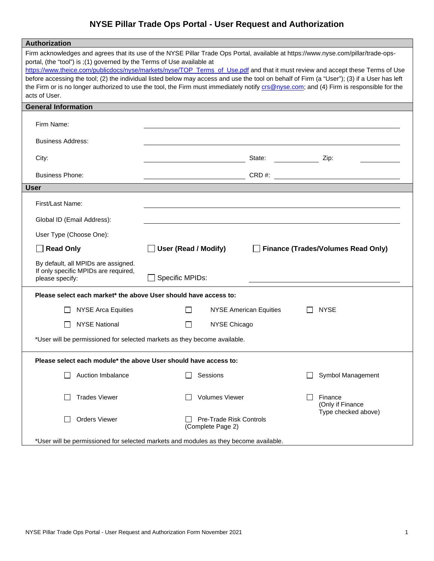## **NYSE Pillar Trade Ops Portal - User Request and Authorization**

| Authorization                                                                                                                                                                                                                                                                                                                                                                                                                                                                                                                                                                                                                                             |                                                                             |  |  |
|-----------------------------------------------------------------------------------------------------------------------------------------------------------------------------------------------------------------------------------------------------------------------------------------------------------------------------------------------------------------------------------------------------------------------------------------------------------------------------------------------------------------------------------------------------------------------------------------------------------------------------------------------------------|-----------------------------------------------------------------------------|--|--|
| Firm acknowledges and agrees that its use of the NYSE Pillar Trade Ops Portal, available at https://www.nyse.com/pillar/trade-ops-<br>portal, (the "tool") is ;(1) governed by the Terms of Use available at<br>https://www.theice.com/publicdocs/nyse/markets/nyse/TOP_Terms_of_Use.pdf and that it must review and accept these Terms of Use<br>before accessing the tool; (2) the individual listed below may access and use the tool on behalf of Firm (a "User"); (3) if a User has left<br>the Firm or is no longer authorized to use the tool, the Firm must immediately notify crs@nyse.com; and (4) Firm is responsible for the<br>acts of User. |                                                                             |  |  |
| <b>General Information</b>                                                                                                                                                                                                                                                                                                                                                                                                                                                                                                                                                                                                                                |                                                                             |  |  |
| Firm Name:                                                                                                                                                                                                                                                                                                                                                                                                                                                                                                                                                                                                                                                |                                                                             |  |  |
| <b>Business Address:</b>                                                                                                                                                                                                                                                                                                                                                                                                                                                                                                                                                                                                                                  |                                                                             |  |  |
| City:                                                                                                                                                                                                                                                                                                                                                                                                                                                                                                                                                                                                                                                     | State:<br>Zip:                                                              |  |  |
| <b>Business Phone:</b>                                                                                                                                                                                                                                                                                                                                                                                                                                                                                                                                                                                                                                    | CRD#:                                                                       |  |  |
| <b>User</b>                                                                                                                                                                                                                                                                                                                                                                                                                                                                                                                                                                                                                                               |                                                                             |  |  |
| First/Last Name:                                                                                                                                                                                                                                                                                                                                                                                                                                                                                                                                                                                                                                          |                                                                             |  |  |
| Global ID (Email Address):                                                                                                                                                                                                                                                                                                                                                                                                                                                                                                                                                                                                                                |                                                                             |  |  |
| User Type (Choose One):                                                                                                                                                                                                                                                                                                                                                                                                                                                                                                                                                                                                                                   |                                                                             |  |  |
| <b>Read Only</b>                                                                                                                                                                                                                                                                                                                                                                                                                                                                                                                                                                                                                                          | User (Read / Modify)<br><b>Finance (Trades/Volumes Read Only)</b>           |  |  |
| By default, all MPIDs are assigned.<br>If only specific MPIDs are required,<br>please specify:                                                                                                                                                                                                                                                                                                                                                                                                                                                                                                                                                            | Specific MPIDs:                                                             |  |  |
| Please select each market* the above User should have access to:                                                                                                                                                                                                                                                                                                                                                                                                                                                                                                                                                                                          |                                                                             |  |  |
| <b>NYSE Arca Equities</b>                                                                                                                                                                                                                                                                                                                                                                                                                                                                                                                                                                                                                                 | <b>NYSE American Equities</b><br><b>NYSE</b>                                |  |  |
| <b>NYSE National</b><br>$\mathbf{I}$                                                                                                                                                                                                                                                                                                                                                                                                                                                                                                                                                                                                                      | NYSE Chicago<br>l 1                                                         |  |  |
| *User will be permissioned for selected markets as they become available.                                                                                                                                                                                                                                                                                                                                                                                                                                                                                                                                                                                 |                                                                             |  |  |
| Please select each module* the above User should have access to:                                                                                                                                                                                                                                                                                                                                                                                                                                                                                                                                                                                          |                                                                             |  |  |
| Auction Imbalance                                                                                                                                                                                                                                                                                                                                                                                                                                                                                                                                                                                                                                         | Sessions<br>Symbol Management                                               |  |  |
| <b>Trades Viewer</b>                                                                                                                                                                                                                                                                                                                                                                                                                                                                                                                                                                                                                                      | <b>Volumes Viewer</b><br>Finance<br>(Only if Finance<br>Type checked above) |  |  |
| <b>Orders Viewer</b>                                                                                                                                                                                                                                                                                                                                                                                                                                                                                                                                                                                                                                      | <b>Pre-Trade Risk Controls</b><br>(Complete Page 2)                         |  |  |
| *User will be permissioned for selected markets and modules as they become available.                                                                                                                                                                                                                                                                                                                                                                                                                                                                                                                                                                     |                                                                             |  |  |